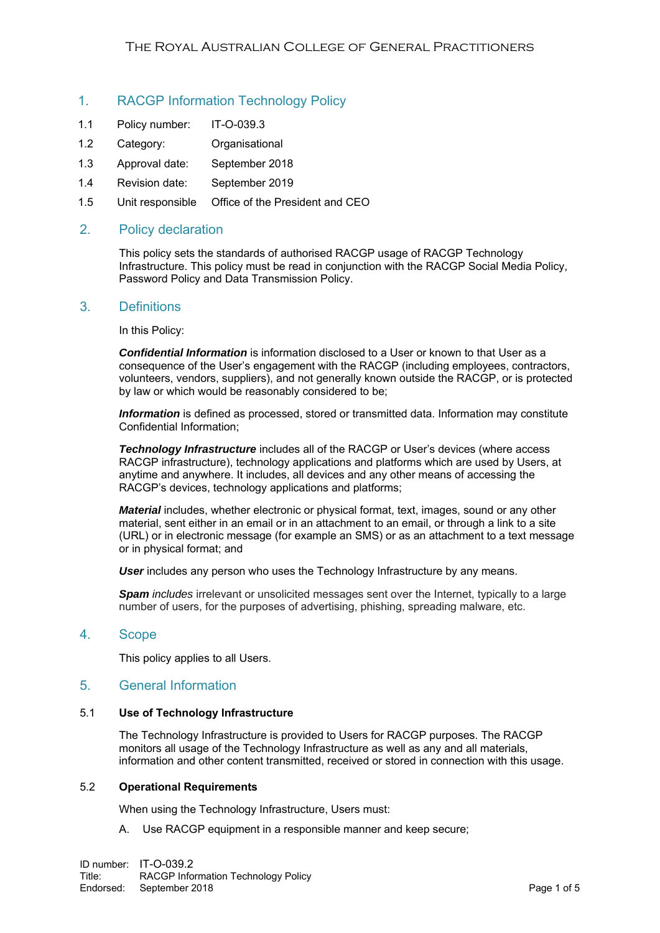# 1. RACGP Information Technology Policy

- 1.1 Policy number: IT-O-039.3
- 1.2 Category: Organisational
- 1.3 Approval date: September 2018
- 1.4 Revision date: September 2019
- 1.5 Unit responsible Office of the President and CEO

## 2. Policy declaration

This policy sets the standards of authorised RACGP usage of RACGP Technology Infrastructure. This policy must be read in conjunction with the RACGP Social Media Policy, Password Policy and Data Transmission Policy.

## 3. Definitions

In this Policy:

*Confidential Information* is information disclosed to a User or known to that User as a consequence of the User's engagement with the RACGP (including employees, contractors, volunteers, vendors, suppliers), and not generally known outside the RACGP, or is protected by law or which would be reasonably considered to be;

**Information** is defined as processed, stored or transmitted data. Information may constitute Confidential Information;

*Technology Infrastructure* includes all of the RACGP or User's devices (where access RACGP infrastructure), technology applications and platforms which are used by Users, at anytime and anywhere. It includes, all devices and any other means of accessing the RACGP's devices, technology applications and platforms;

*Material* includes, whether electronic or physical format, text, images, sound or any other material, sent either in an email or in an attachment to an email, or through a link to a site (URL) or in electronic message (for example an SMS) or as an attachment to a text message or in physical format; and

*User* includes any person who uses the Technology Infrastructure by any means.

*Spam includes* irrelevant or unsolicited messages sent over the Internet, typically to a large number of users, for the purposes of advertising, phishing, spreading malware, etc.

### 4. Scope

This policy applies to all Users.

## 5. General Information

#### 5.1 **Use of Technology Infrastructure**

The Technology Infrastructure is provided to Users for RACGP purposes. The RACGP monitors all usage of the Technology Infrastructure as well as any and all materials, information and other content transmitted, received or stored in connection with this usage.

#### 5.2 **Operational Requirements**

When using the Technology Infrastructure, Users must:

A. Use RACGP equipment in a responsible manner and keep secure;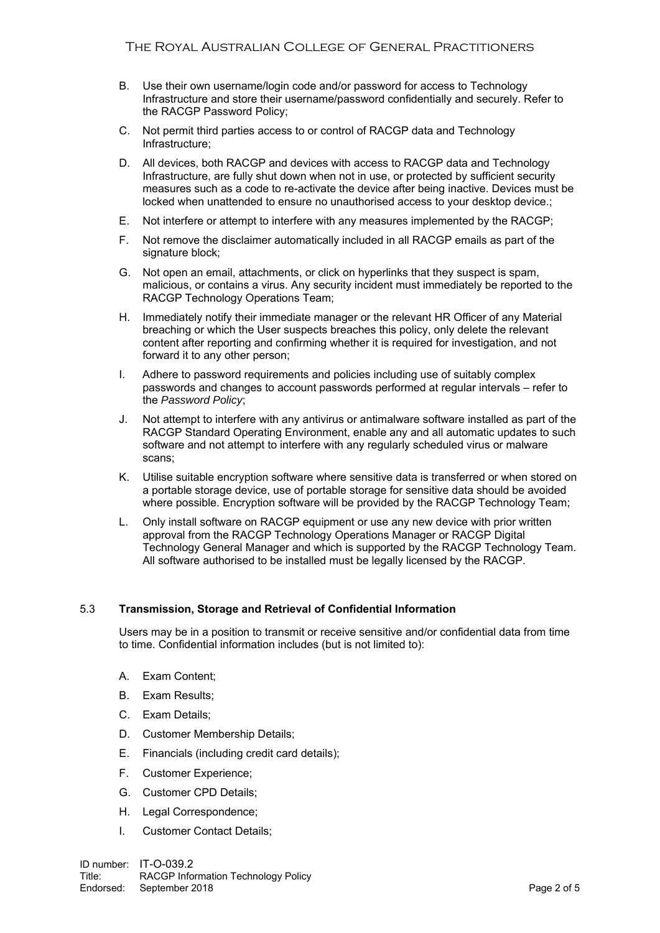- B. Use their own username/login code and/or password for access to Technology Infrastructure and store their username/password confidentially and securely. Refer to the RACGP Password Policy;
- C. Not permit third parties access to or control of RACGP data and Technology Infrastructure;
- D. All devices, both RACGP and devices with access to RACGP data and Technology Infrastructure, are fully shut down when not in use, or protected by sufficient security measures such as a code to re-activate the device after being inactive. Devices must be locked when unattended to ensure no unauthorised access to your desktop device.;
- E. Not interfere or attempt to interfere with any measures implemented by the RACGP;
- F. Not remove the disclaimer automatically included in all RACGP emails as part of the signature block;
- G. Not open an email, attachments, or click on hyperlinks that they suspect is spam, malicious, or contains a virus. Any security incident must immediately be reported to the RACGP Technology Operations Team;
- H. Immediately notify their immediate manager or the relevant HR Officer of any Material breaching or which the User suspects breaches this policy, only delete the relevant content after reporting and confirming whether it is required for investigation, and not forward it to any other person;
- I. Adhere to password requirements and policies including use of suitably complex passwords and changes to account passwords performed at regular intervals – refer to the *Password Policy*;
- J. Not attempt to interfere with any antivirus or antimalware software installed as part of the RACGP Standard Operating Environment, enable any and all automatic updates to such software and not attempt to interfere with any regularly scheduled virus or malware scans;
- K. Utilise suitable encryption software where sensitive data is transferred or when stored on a portable storage device, use of portable storage for sensitive data should be avoided where possible. Encryption software will be provided by the RACGP Technology Team;
- L. Only install software on RACGP equipment or use any new device with prior written approval from the RACGP Technology Operations Manager or RACGP Digital Technology General Manager and which is supported by the RACGP Technology Team. All software authorised to be installed must be legally licensed by the RACGP.

### 5.3 **Transmission, Storage and Retrieval of Confidential Information**

Users may be in a position to transmit or receive sensitive and/or confidential data from time to time. Confidential information includes (but is not limited to):

- A. Exam Content;
- B. Exam Results;
- C. Exam Details;
- D. Customer Membership Details;
- E. Financials (including credit card details);
- F. Customer Experience;
- G. Customer CPD Details;
- H. Legal Correspondence;
- I. Customer Contact Details;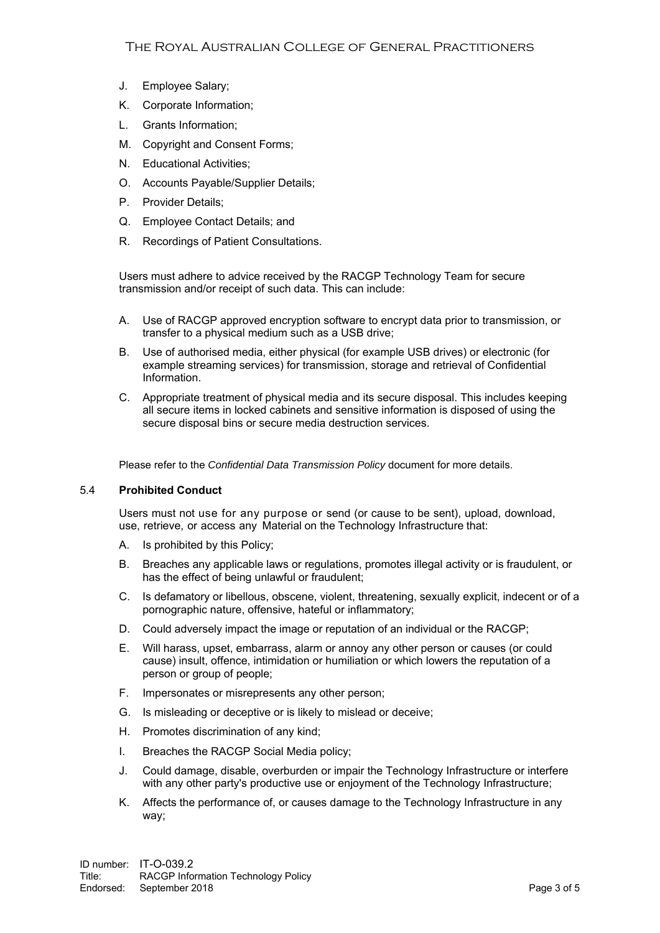- J. Employee Salary;
- K. Corporate Information;
- L. Grants Information;
- M. Copyright and Consent Forms;
- N. Educational Activities;
- O. Accounts Payable/Supplier Details;
- P. Provider Details;
- Q. Employee Contact Details; and
- R. Recordings of Patient Consultations.

Users must adhere to advice received by the RACGP Technology Team for secure transmission and/or receipt of such data. This can include:

- A. Use of RACGP approved encryption software to encrypt data prior to transmission, or transfer to a physical medium such as a USB drive;
- B. Use of authorised media, either physical (for example USB drives) or electronic (for example streaming services) for transmission, storage and retrieval of Confidential Information.
- C. Appropriate treatment of physical media and its secure disposal. This includes keeping all secure items in locked cabinets and sensitive information is disposed of using the secure disposal bins or secure media destruction services.

Please refer to the *Confidential Data Transmission Policy* document for more details.

### 5.4 **Prohibited Conduct**

Users must not use for any purpose or send (or cause to be sent), upload, download, use, retrieve, or access any Material on the Technology Infrastructure that:

- A. Is prohibited by this Policy;
- B. Breaches any applicable laws or regulations, promotes illegal activity or is fraudulent, or has the effect of being unlawful or fraudulent;
- C. Is defamatory or libellous, obscene, violent, threatening, sexually explicit, indecent or of a pornographic nature, offensive, hateful or inflammatory;
- D. Could adversely impact the image or reputation of an individual or the RACGP;
- E. Will harass, upset, embarrass, alarm or annoy any other person or causes (or could cause) insult, offence, intimidation or humiliation or which lowers the reputation of a person or group of people;
- F. Impersonates or misrepresents any other person;
- G. Is misleading or deceptive or is likely to mislead or deceive;
- H. Promotes discrimination of any kind;
- I. Breaches the RACGP Social Media policy;
- J. Could damage, disable, overburden or impair the Technology Infrastructure or interfere with any other party's productive use or enjoyment of the Technology Infrastructure;
- K. Affects the performance of, or causes damage to the Technology Infrastructure in any way;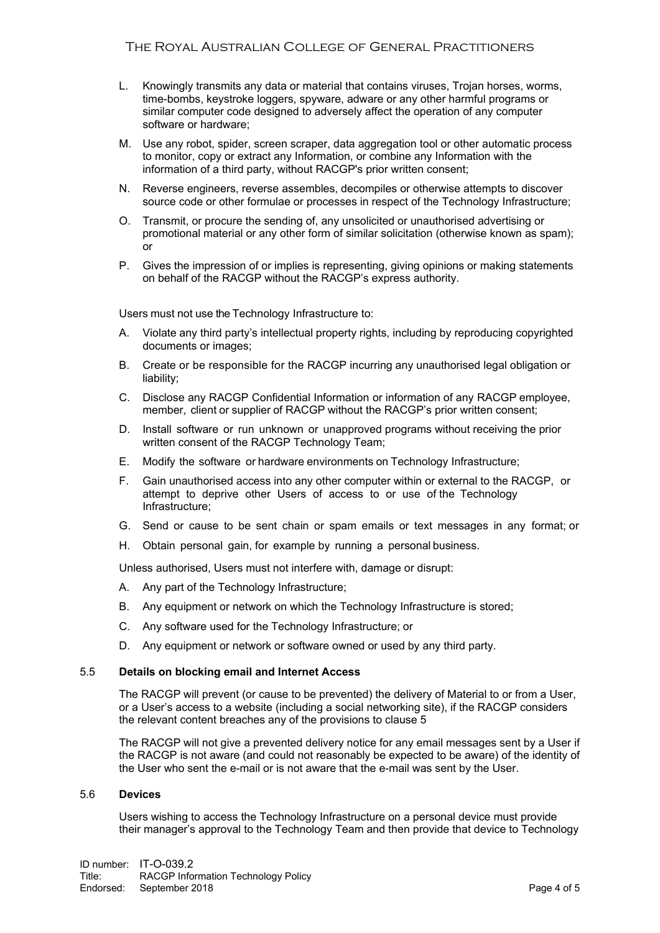- L. Knowingly transmits any data or material that contains viruses, Trojan horses, worms, time-bombs, keystroke loggers, spyware, adware or any other harmful programs or similar computer code designed to adversely affect the operation of any computer software or hardware;
- M. Use any robot, spider, screen scraper, data aggregation tool or other automatic process to monitor, copy or extract any Information, or combine any Information with the information of a third party, without RACGP's prior written consent;
- N. Reverse engineers, reverse assembles, decompiles or otherwise attempts to discover source code or other formulae or processes in respect of the Technology Infrastructure;
- O. Transmit, or procure the sending of, any unsolicited or unauthorised advertising or promotional material or any other form of similar solicitation (otherwise known as spam); or
- P. Gives the impression of or implies is representing, giving opinions or making statements on behalf of the RACGP without the RACGP's express authority.

Users must not use the Technology Infrastructure to:

- A. Violate any third party's intellectual property rights, including by reproducing copyrighted documents or images;
- B. Create or be responsible for the RACGP incurring any unauthorised legal obligation or liability;
- C. Disclose any RACGP Confidential Information or information of any RACGP employee, member, client or supplier of RACGP without the RACGP's prior written consent;
- D. Install software or run unknown or unapproved programs without receiving the prior written consent of the RACGP Technology Team;
- E. Modify the software or hardware environments on Technology Infrastructure;
- F. Gain unauthorised access into any other computer within or external to the RACGP, or attempt to deprive other Users of access to or use of the Technology Infrastructure;
- G. Send or cause to be sent chain or spam emails or text messages in any format; or
- H. Obtain personal gain, for example by running a personal business.

Unless authorised, Users must not interfere with, damage or disrupt:

- A. Any part of the Technology Infrastructure;
- B. Any equipment or network on which the Technology Infrastructure is stored;
- C. Any software used for the Technology Infrastructure; or
- D. Any equipment or network or software owned or used by any third party.

#### 5.5 **Details on blocking email and Internet Access**

The RACGP will prevent (or cause to be prevented) the delivery of Material to or from a User, or a User's access to a website (including a social networking site), if the RACGP considers the relevant content breaches any of the provisions to clause 5

The RACGP will not give a prevented delivery notice for any email messages sent by a User if the RACGP is not aware (and could not reasonably be expected to be aware) of the identity of the User who sent the e-mail or is not aware that the e-mail was sent by the User.

### 5.6 **Devices**

Users wishing to access the Technology Infrastructure on a personal device must provide their manager's approval to the Technology Team and then provide that device to Technology